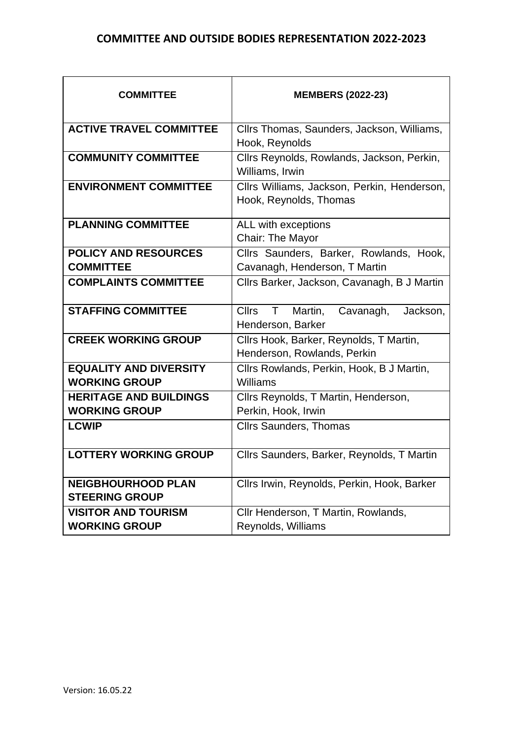## **COMMITTEE AND OUTSIDE BODIES REPRESENTATION 2022-2023**

| <b>COMMITTEE</b>                                      | <b>MEMBERS (2022-23)</b>                                                              |
|-------------------------------------------------------|---------------------------------------------------------------------------------------|
| <b>ACTIVE TRAVEL COMMITTEE</b>                        | Cllrs Thomas, Saunders, Jackson, Williams,<br>Hook, Reynolds                          |
| <b>COMMUNITY COMMITTEE</b>                            | Cllrs Reynolds, Rowlands, Jackson, Perkin,<br>Williams, Irwin                         |
| <b>ENVIRONMENT COMMITTEE</b>                          | Cllrs Williams, Jackson, Perkin, Henderson,<br>Hook, Reynolds, Thomas                 |
| <b>PLANNING COMMITTEE</b>                             | ALL with exceptions<br>Chair: The Mayor                                               |
| <b>POLICY AND RESOURCES</b><br><b>COMMITTEE</b>       | Cllrs Saunders, Barker, Rowlands, Hook,<br>Cavanagh, Henderson, T Martin              |
| <b>COMPLAINTS COMMITTEE</b>                           | Cllrs Barker, Jackson, Cavanagh, B J Martin                                           |
| <b>STAFFING COMMITTEE</b>                             | Martin,<br><b>Cllrs</b><br>$\mathsf{T}$<br>Cavanagh,<br>Jackson,<br>Henderson, Barker |
| <b>CREEK WORKING GROUP</b>                            | Cllrs Hook, Barker, Reynolds, T Martin,<br>Henderson, Rowlands, Perkin                |
| <b>EQUALITY AND DIVERSITY</b><br><b>WORKING GROUP</b> | Cllrs Rowlands, Perkin, Hook, B J Martin,<br>Williams                                 |
| <b>HERITAGE AND BUILDINGS</b><br><b>WORKING GROUP</b> | Cllrs Reynolds, T Martin, Henderson,<br>Perkin, Hook, Irwin                           |
| <b>LCWIP</b>                                          | <b>Cllrs Saunders, Thomas</b>                                                         |
| <b>LOTTERY WORKING GROUP</b>                          | Cllrs Saunders, Barker, Reynolds, T Martin                                            |
| <b>NEIGBHOURHOOD PLAN</b><br><b>STEERING GROUP</b>    | Cllrs Irwin, Reynolds, Perkin, Hook, Barker                                           |
| <b>VISITOR AND TOURISM</b><br><b>WORKING GROUP</b>    | Cllr Henderson, T Martin, Rowlands,<br>Reynolds, Williams                             |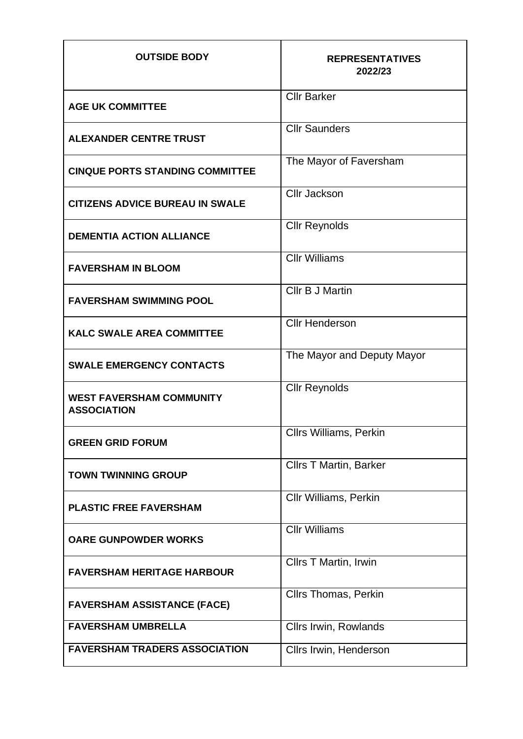| <b>OUTSIDE BODY</b>                                   | <b>REPRESENTATIVES</b><br>2022/23 |
|-------------------------------------------------------|-----------------------------------|
| <b>AGE UK COMMITTEE</b>                               | <b>Cllr Barker</b>                |
| <b>ALEXANDER CENTRE TRUST</b>                         | <b>Cllr Saunders</b>              |
| <b>CINQUE PORTS STANDING COMMITTEE</b>                | The Mayor of Faversham            |
| <b>CITIZENS ADVICE BUREAU IN SWALE</b>                | <b>Cllr Jackson</b>               |
| <b>DEMENTIA ACTION ALLIANCE</b>                       | <b>Cllr Reynolds</b>              |
| <b>FAVERSHAM IN BLOOM</b>                             | <b>Cllr Williams</b>              |
| <b>FAVERSHAM SWIMMING POOL</b>                        | <b>CIIr B J Martin</b>            |
| <b>KALC SWALE AREA COMMITTEE</b>                      | <b>Cllr Henderson</b>             |
| <b>SWALE EMERGENCY CONTACTS</b>                       | The Mayor and Deputy Mayor        |
| <b>WEST FAVERSHAM COMMUNITY</b><br><b>ASSOCIATION</b> | <b>Cllr Reynolds</b>              |
| <b>GREEN GRID FORUM</b>                               | <b>Cllrs Williams, Perkin</b>     |
| <b>TOWN TWINNING GROUP</b>                            | <b>Cllrs T Martin, Barker</b>     |
| <b>PLASTIC FREE FAVERSHAM</b>                         | Cllr Williams, Perkin             |
| <b>OARE GUNPOWDER WORKS</b>                           | <b>Cllr Williams</b>              |
| <b>FAVERSHAM HERITAGE HARBOUR</b>                     | Cllrs T Martin, Irwin             |
| <b>FAVERSHAM ASSISTANCE (FACE)</b>                    | <b>Cllrs Thomas, Perkin</b>       |
| <b>FAVERSHAM UMBRELLA</b>                             | <b>Cllrs Irwin, Rowlands</b>      |
| <b>FAVERSHAM TRADERS ASSOCIATION</b>                  | Cllrs Irwin, Henderson            |